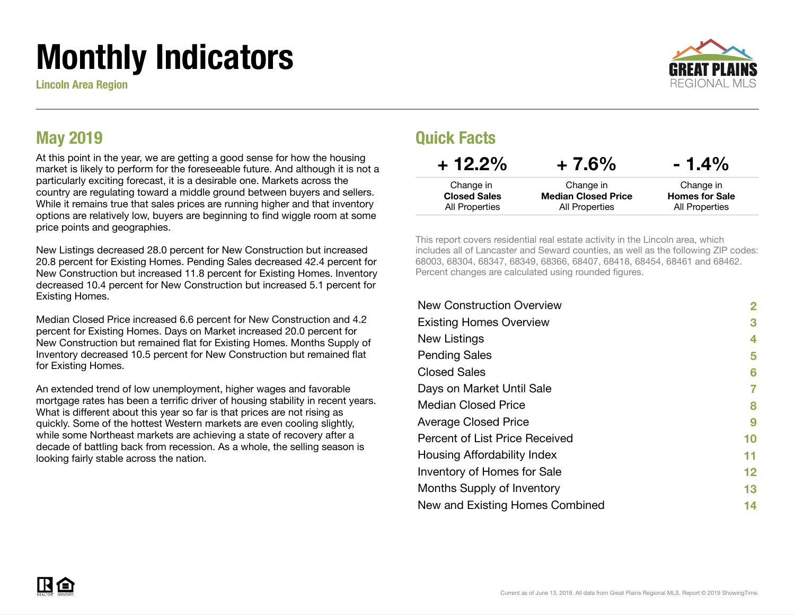# Monthly Indicators

Lincoln Area Region



### May 2019

At this point in the year, we are getting a good sense for how the housing market is likely to perform for the foreseeable future. And although it is not a particularly exciting forecast, it is a desirable one. Markets across the country are regulating toward a middle ground between buyers and sellers. While it remains true that sales prices are running higher and that inventory options are relatively low, buyers are beginning to find wiggle room at some price points and geographies.

New Listings decreased 28.0 percent for New Construction but increased 20.8 percent for Existing Homes. Pending Sales decreased 42.4 percent for New Construction but increased 11.8 percent for Existing Homes. Inventory decreased 10.4 percent for New Construction but increased 5.1 percent for Existing Homes.

Median Closed Price increased 6.6 percent for New Construction and 4.2 percent for Existing Homes. Days on Market increased 20.0 percent for New Construction but remained flat for Existing Homes. Months Supply of Inventory decreased 10.5 percent for New Construction but remained flat for Existing Homes.

An extended trend of low unemployment, higher wages and favorable mortgage rates has been a terrific driver of housing stability in recent years. What is different about this year so far is that prices are not rising as quickly. Some of the hottest Western markets are even cooling slightly, while some Northeast markets are achieving a state of recovery after a decade of battling back from recession. As a whole, the selling season is looking fairly stable across the nation.

### Quick Facts

| $+12.2%$            | $+7.6%$                    | $-1.4\%$              |
|---------------------|----------------------------|-----------------------|
| Change in           | Change in                  | Change in             |
| <b>Closed Sales</b> | <b>Median Closed Price</b> | <b>Homes for Sale</b> |
| All Properties      | All Properties             | All Properties        |

This report covers residential real estate activity in the Lincoln area, which includes all of Lancaster and Seward counties, as well as the following ZIP codes: 68003, 68304, 68347, 68349, 68366, 68407, 68418, 68454, 68461 and 68462. Percent changes are calculated using rounded figures.

| <b>New Construction Overview</b> | 2  |
|----------------------------------|----|
| <b>Existing Homes Overview</b>   | 3  |
| New Listings                     | 4  |
| <b>Pending Sales</b>             | 5  |
| <b>Closed Sales</b>              | 6  |
| Days on Market Until Sale        | 7  |
| <b>Median Closed Price</b>       | 8  |
| <b>Average Closed Price</b>      | 9  |
| Percent of List Price Received   | 10 |
| Housing Affordability Index      | 11 |
| Inventory of Homes for Sale      | 12 |
| Months Supply of Inventory       | 13 |
| New and Existing Homes Combined  | 14 |
|                                  |    |

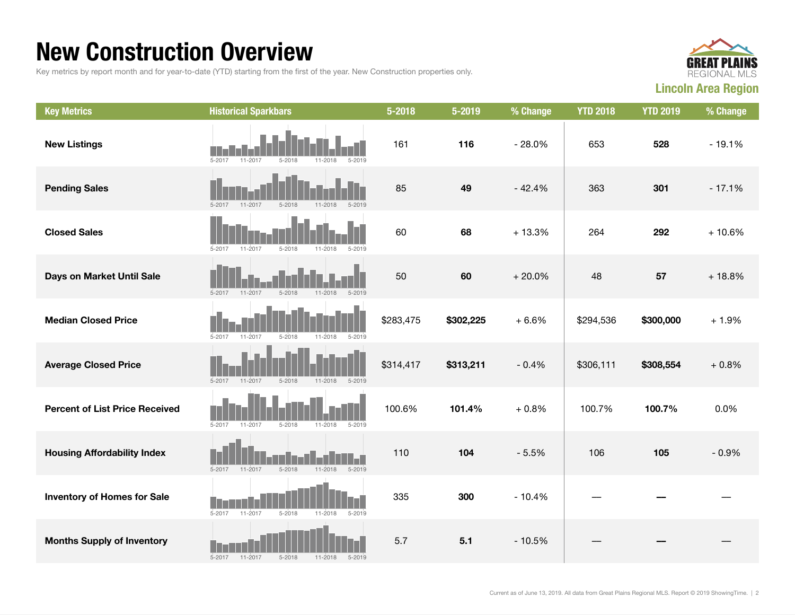### New Construction Overview

Key metrics by report month and for year-to-date (YTD) starting from the first of the year. New Construction properties only.



| <b>Key Metrics</b>                    | <b>Historical Sparkbars</b>                                          | 5-2018    | 5-2019    | % Change | <b>YTD 2018</b> | <b>YTD 2019</b> | % Change |
|---------------------------------------|----------------------------------------------------------------------|-----------|-----------|----------|-----------------|-----------------|----------|
| <b>New Listings</b>                   | $5 - 2017$<br>11-2017<br>$5 - 2018$<br>$5 - 2019$<br>11-2018         | 161       | 116       | $-28.0%$ | 653             | 528             | $-19.1%$ |
| <b>Pending Sales</b>                  | $5 - 2017$<br>$11 - 2017$<br>$5 - 2018$<br>$11 - 2018$<br>$5 - 2019$ | 85        | 49        | $-42.4%$ | 363             | 301             | $-17.1%$ |
| <b>Closed Sales</b>                   | $5 - 2017$<br>$5 - 2018$<br>11-2018<br>$5 - 2019$<br>$11 - 2017$     | 60        | 68        | $+13.3%$ | 264             | 292             | $+10.6%$ |
| Days on Market Until Sale             | $5 - 2017$<br>$11 - 2017$<br>$5 - 2018$<br>$11 - 2018$<br>$5 - 2019$ | 50        | 60        | $+20.0%$ | 48              | 57              | $+18.8%$ |
| <b>Median Closed Price</b>            | $5 - 2018$<br>$5 - 2017$<br>$11 - 2017$<br>$11 - 2018$<br>$5 - 2019$ | \$283,475 | \$302,225 | $+6.6%$  | \$294,536       | \$300,000       | $+1.9%$  |
| <b>Average Closed Price</b>           | $5 - 2017$<br>$11 - 2017$<br>$5 - 2018$<br>$11 - 2018$<br>$5 - 2019$ | \$314,417 | \$313,211 | $-0.4%$  | \$306,111       | \$308,554       | $+0.8%$  |
| <b>Percent of List Price Received</b> | $5 - 2017$<br>11-2017<br>$5 - 2018$<br>11-2018<br>$5 - 2019$         | 100.6%    | 101.4%    | $+0.8%$  | 100.7%          | 100.7%          | 0.0%     |
| <b>Housing Affordability Index</b>    | $5 - 2017$<br>$11 - 2017$<br>$5 - 2018$<br>$11 - 2018$<br>$5 - 2019$ | 110       | 104       | $-5.5%$  | 106             | 105             | $-0.9%$  |
| <b>Inventory of Homes for Sale</b>    | $5 - 2017$<br>11-2017<br>$5 - 2018$<br>$11 - 2018$<br>$5 - 2019$     | 335       | 300       | $-10.4%$ |                 |                 |          |
| <b>Months Supply of Inventory</b>     | $5 - 2017$<br>$5 - 2018$<br>$11 - 2018$<br>$5 - 2019$<br>11-2017     | 5.7       | 5.1       | $-10.5%$ |                 |                 |          |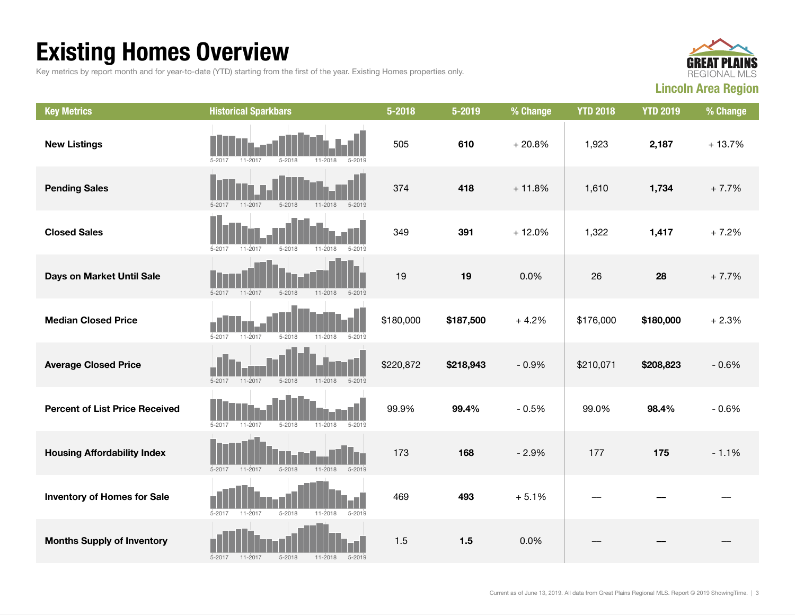## Existing Homes Overview

Key metrics by report month and for year-to-date (YTD) starting from the first of the year. Existing Homes properties only.



| <b>Key Metrics</b>                    | <b>Historical Sparkbars</b>                                          | 5-2018    | 5-2019    | % Change | <b>YTD 2018</b> | <b>YTD 2019</b> | % Change |
|---------------------------------------|----------------------------------------------------------------------|-----------|-----------|----------|-----------------|-----------------|----------|
| <b>New Listings</b>                   | $5 - 2018$<br>$5 - 2017$<br>11-2017<br>11-2018<br>$5 - 2019$         | 505       | 610       | $+20.8%$ | 1,923           | 2,187           | $+13.7%$ |
| <b>Pending Sales</b>                  | $5 - 2018$<br>$5 - 2019$<br>$5 - 2017$<br>$11 - 2017$<br>$11 - 2018$ | 374       | 418       | $+11.8%$ | 1,610           | 1,734           | $+7.7%$  |
| <b>Closed Sales</b>                   | $5 - 2017$<br>11-2017<br>$5 - 2018$<br>$11 - 2018$<br>$5 - 2019$     | 349       | 391       | $+12.0%$ | 1,322           | 1,417           | $+7.2%$  |
| Days on Market Until Sale             | $11 - 2018$<br>$5 - 2019$<br>$5 - 2017$<br>$11 - 2017$<br>$5 - 2018$ | 19        | 19        | 0.0%     | 26              | 28              | $+7.7%$  |
| <b>Median Closed Price</b>            | $5 - 2017$<br>$11 - 2017$<br>$5 - 2018$<br>$11 - 2018$<br>$5 - 2019$ | \$180,000 | \$187,500 | $+4.2%$  | \$176,000       | \$180,000       | $+2.3%$  |
| <b>Average Closed Price</b>           | $5 - 2017$<br>$5 - 2018$<br>11-2017<br>$11 - 2018$<br>$5 - 2019$     | \$220,872 | \$218,943 | $-0.9%$  | \$210,071       | \$208,823       | $-0.6%$  |
| <b>Percent of List Price Received</b> | $5 - 2018$<br>$5 - 2017$<br>11-2017<br>$11 - 2018$<br>$5 - 2019$     | 99.9%     | 99.4%     | $-0.5%$  | 99.0%           | 98.4%           | $-0.6%$  |
| <b>Housing Affordability Index</b>    | $5 - 2019$<br>$5 - 2017$<br>11-2017<br>$5 - 2018$<br>$11 - 2018$     | 173       | 168       | $-2.9%$  | 177             | 175             | $-1.1%$  |
| <b>Inventory of Homes for Sale</b>    | $5 - 2017$<br>11-2017<br>$5 - 2018$<br>11-2018<br>$5 - 2019$         | 469       | 493       | $+5.1%$  |                 |                 |          |
| <b>Months Supply of Inventory</b>     | 11-2017<br>$5 - 2018$<br>$11 - 2018$<br>$5 - 2017$<br>$5 - 2019$     | 1.5       | $1.5$     | 0.0%     |                 |                 |          |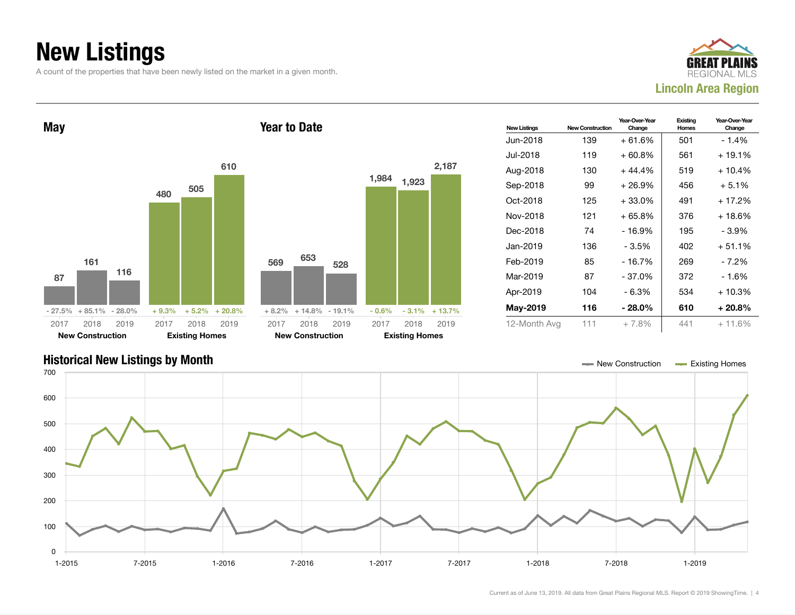## New Listings

A count of the properties that have been newly listed on the market in a given month.





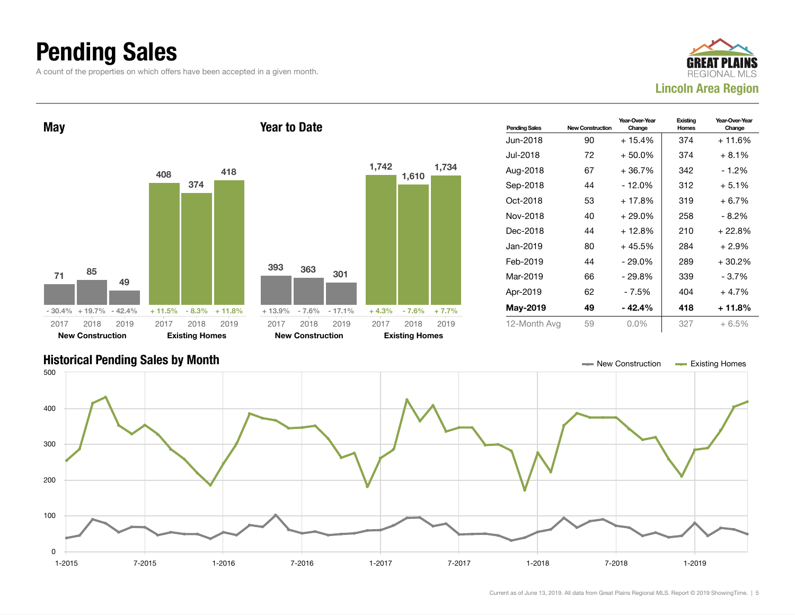### Pending Sales

A count of the properties on which offers have been accepted in a given month.





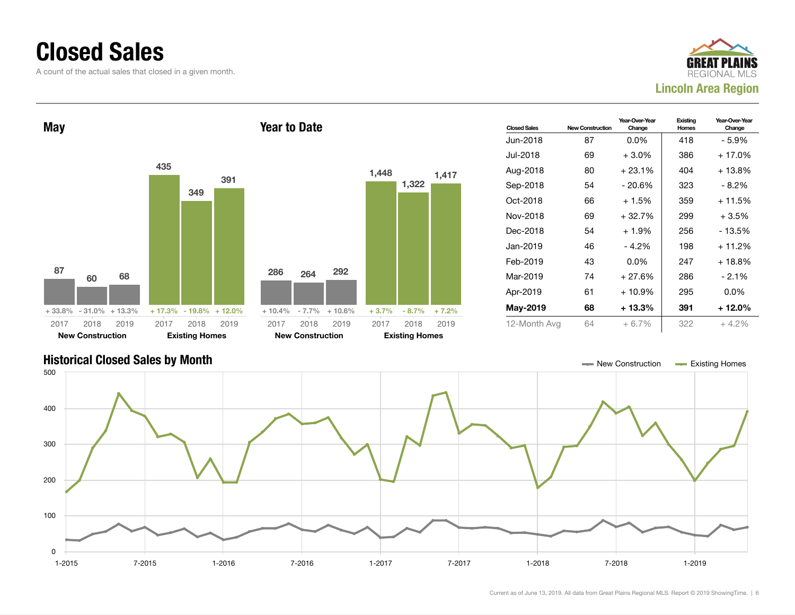### Closed Sales

A count of the actual sales that closed in a given month.





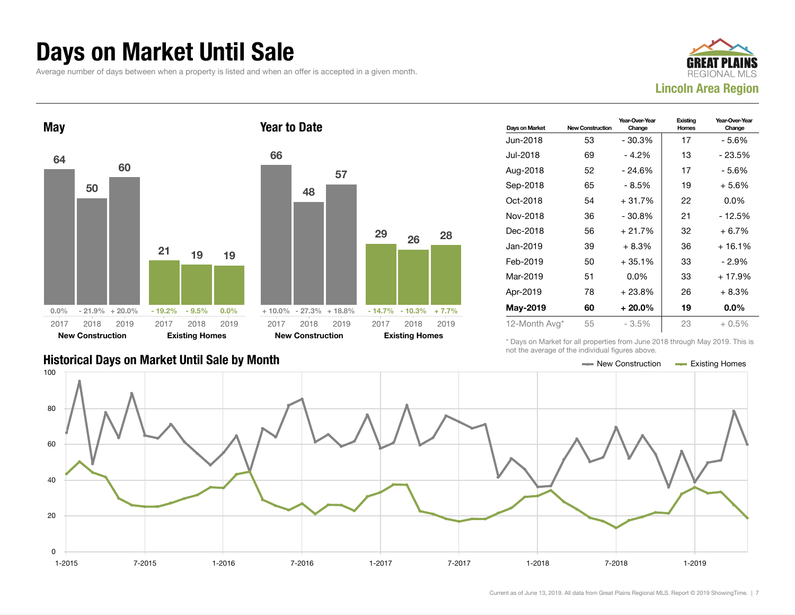### Days on Market Until Sale

Average number of days between when a property is listed and when an offer is accepted in a given month.





| Days on Market | <b>New Construction</b> | Year-Over-Year<br>Change | Existing<br>Homes | Year-Over-Year<br>Change |
|----------------|-------------------------|--------------------------|-------------------|--------------------------|
| Jun-2018       | 53                      | $-30.3%$                 | 17                | - 5.6%                   |
| Jul-2018       | 69                      | - 4.2%                   | 13                | $-23.5%$                 |
| Aug-2018       | 52                      | $-24.6%$                 | 17                | - 5.6%                   |
| Sep-2018       | 65                      | - 8.5%                   | 19                | $+5.6%$                  |
| Oct-2018       | 54                      | $+31.7%$                 | 22                | $0.0\%$                  |
| Nov-2018       | 36                      | $-30.8\%$                | 21                | - 12.5%                  |
| Dec-2018       | 56                      | $+21.7%$                 | 32                | $+6.7%$                  |
| Jan-2019       | 39                      | $+8.3%$                  | 36                | $+16.1%$                 |
| Feb-2019       | 50                      | $+35.1%$                 | 33                | - 2.9%                   |
| Mar-2019       | 51                      | $0.0\%$                  | 33                | $+17.9%$                 |
| Apr-2019       | 78                      | $+23.8%$                 | 26                | $+8.3%$                  |
| May-2019       | 60                      | $+20.0\%$                | 19                | $0.0\%$                  |
| 12-Month Avg*  | 55                      | $-3.5\%$                 | 23                | $+0.5\%$                 |

### Historical Days on Market Until Sale by Month New York New York New York New York New Construction Access Existing Homes

\* Days on Market for all properties from June 2018 through May 2019. This is not the average of the individual figures above.

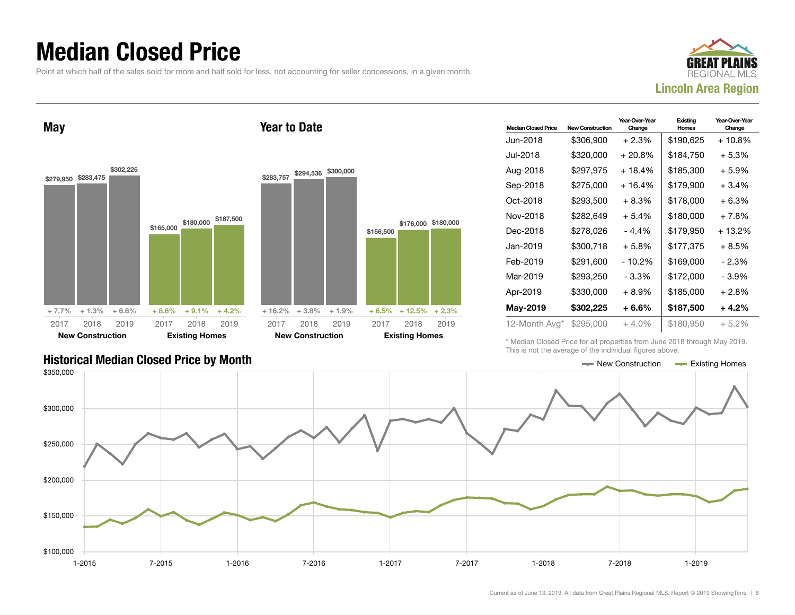### Median Closed Price

Point at which half of the sales sold for more and half sold for less, not accounting for seller concessions, in a given month.

Year to Date



May



\$283,757 \$294,536 \$300,000  $+ 16.2\% + 3.8\% + 1.9\%$ \$156,500 \$176,000 \$180,000 + 6.5% + 12.5% + 2.3% 2017 New Construction 2018 2019 2017 Existing Homes 2018 2019

| <b>Median Closed Price</b> | <b>New Construction</b> | Year-Over-Year<br>Change | Existing<br>Homes | Year-Over-Year<br>Change |
|----------------------------|-------------------------|--------------------------|-------------------|--------------------------|
| Jun-2018                   | \$306,900               | $+2.3%$                  | \$190,625         | + 10.8%                  |
| Jul-2018                   | \$320,000               | $+20.8\%$                | \$184,750         | + 5.3%                   |
| Aug-2018                   | \$297,975               | + 18.4%                  | \$185,300         | + 5.9%                   |
| Sep-2018                   | \$275,000               | $+16.4%$                 | \$179,900         | $+3.4%$                  |
| Oct-2018                   | \$293,500               | $+8.3%$                  | \$178,000         | $+6.3%$                  |
| Nov-2018                   | \$282,649               | $+5.4%$                  | \$180,000         | + 7.8%                   |
| Dec-2018                   | \$278,026               | - 4.4%                   | \$179,950         | + 13.2%                  |
| Jan-2019                   | \$300,718               | $+5.8%$                  | \$177,375         | + 8.5%                   |
| Feb-2019                   | \$291.600               | $-10.2%$                 | \$169,000         | - 2.3%                   |
| Mar-2019                   | \$293,250               | - 3.3%                   | \$172,000         | - 3.9%                   |
| Apr-2019                   | \$330,000               | $+8.9\%$                 | \$185,000         | + 2.8%                   |
| May-2019                   | \$302,225               | $+6.6\%$                 | \$187,500         | $+4.2%$                  |
| 12-Month Avg*              | \$295,000               | + 4.0%                   | \$180,950         | $+5.2\%$                 |

\* Median Closed Price for all properties from June 2018 through May 2019. This is not the average of the individual figures above.

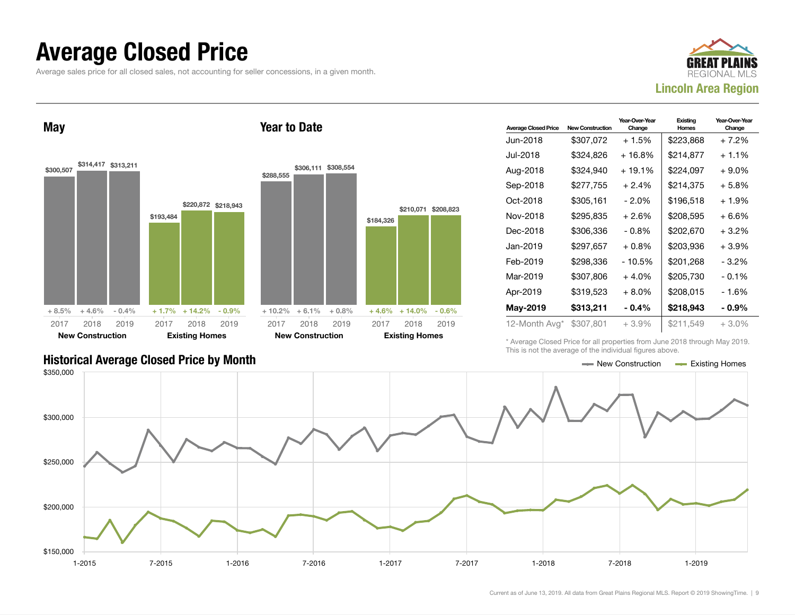### Average Closed Price

Average sales price for all closed sales, not accounting for seller concessions, in a given month.



May



Year to Date

| <b>Average Closed Price</b> | <b>New Construction</b> | Year-Over-Year<br>Change | Existing<br>Homes | Year-Over-Year<br>Change |
|-----------------------------|-------------------------|--------------------------|-------------------|--------------------------|
| Jun-2018.                   | \$307,072               | $+1.5%$                  | \$223,868         | + 7.2%                   |
| Jul-2018                    | \$324,826               | + 16.8%                  | \$214,877         | $+1.1\%$                 |
| Aug-2018                    | \$324,940               | + 19.1%                  | \$224,097         | + 9.0%                   |
| Sep-2018                    | \$277,755               | $+2.4%$                  | \$214,375         | + 5.8%                   |
| Oct-2018                    | \$305,161               | $-2.0\%$                 | \$196,518         | + 1.9%                   |
| Nov-2018                    | \$295,835               | $+2.6%$                  | \$208.595         | + 6.6%                   |
| Dec-2018                    | \$306.336               | $-0.8\%$                 | \$202.670         | + 3.2%                   |
| Jan-2019                    | \$297,657               | $+0.8%$                  | \$203,936         | +3.9%                    |
| Feb-2019                    | \$298,336               | $-10.5%$                 | \$201,268         | - 3.2%                   |
| Mar-2019                    | \$307,806               | $+4.0%$                  | \$205.730         | $-0.1\%$                 |
| Apr-2019                    | \$319,523               | $+8.0\%$                 | \$208.015         | - 1.6%                   |
| May-2019                    | \$313,211               | - 0.4%                   | \$218,943         | - 0.9%                   |
| 12-Month Avg*               | \$307,801               | +3.9%                    | \$211,549         | $+3.0\%$                 |

\* Average Closed Price for all properties from June 2018 through May 2019. This is not the average of the individual figures above.



### Historical Average Closed Price by Month  $\blacksquare$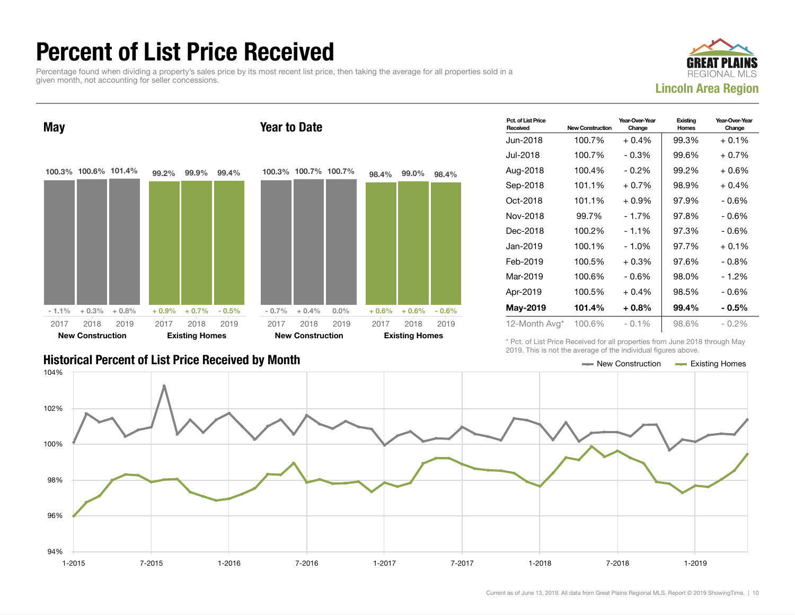### Percent of List Price Received

Percentage found when dividing a property's sales price by its most recent list price, then taking the average for all properties sold in a given month, not accounting for seller concessions.





| storical Percent of List Price Received by Month |  |  |
|--------------------------------------------------|--|--|

| Pct. of List Price<br>Received | <b>New Construction</b> | Year-Over-Year<br>Change | Existing<br>Homes | Year-Over-Year<br>Change |
|--------------------------------|-------------------------|--------------------------|-------------------|--------------------------|
| Jun-2018                       | 100.7%                  | $+0.4%$                  | 99.3%             | $+0.1%$                  |
| Jul-2018.                      | 100.7%                  | $-0.3%$                  | 99.6%             | $+0.7\%$                 |
| Aug-2018                       | 100.4%                  | $-0.2\%$                 | 99.2%             | $+0.6%$                  |
| Sep-2018                       | 101.1%                  | $+0.7%$                  | 98.9%             | $+0.4%$                  |
| Oct-2018                       | 101.1%                  | $+0.9\%$                 | 97.9%             | - 0.6%                   |
| Nov-2018                       | 99.7%                   | $-1.7%$                  | 97.8%             | - 0.6%                   |
| Dec-2018                       | 100.2%                  | $-1.1%$                  | 97.3%             | $-0.6%$                  |
| Jan-2019                       | 100.1%                  | - 1.0%                   | 97.7%             | $+0.1%$                  |
| Feb-2019                       | 100.5%                  | $+0.3%$                  | 97.6%             | - 0.8%                   |
| Mar-2019                       | 100.6%                  | $-0.6%$                  | 98.0%             | $-1.2%$                  |
| Apr-2019                       | 100.5%                  | $+0.4%$                  | 98.5%             | - 0.6%                   |
| May-2019                       | 101.4%                  | $+0.8\%$                 | 99.4%             | $-0.5\%$                 |
| 12-Month Avg*                  | 100.6%                  | $-0.1\%$                 | 98.6%             | $-0.2%$                  |

\* Pct. of List Price Received for all properties from June 2018 through May 2019. This is not the average of the individual figures above.

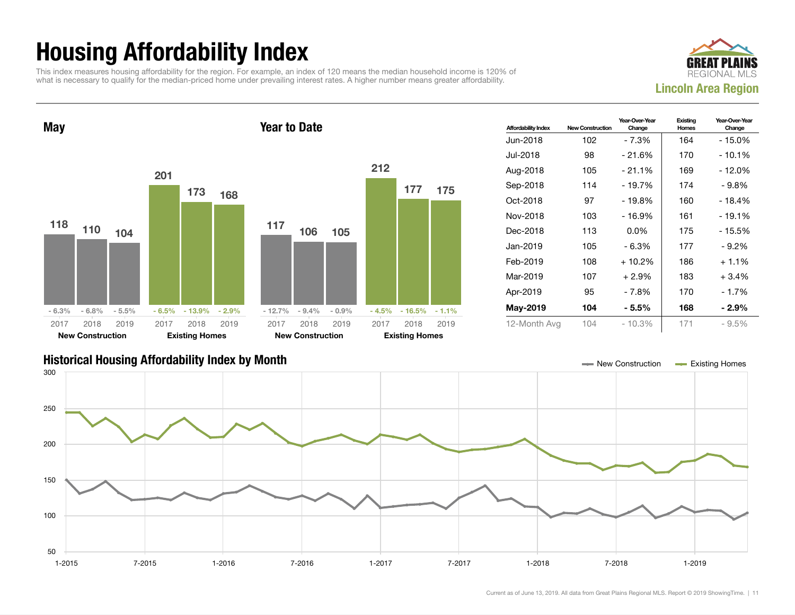## Housing Affordability Index

This index measures housing affordability for the region. For example, an index of 120 means the median household income is 120% of what is necessary to qualify for the median-priced home under prevailing interest rates. A higher number means greater affordability.



Year-Over-Year Change

Existing Homes



| Jan-2019<br>105<br>$-6.3%$<br>Feb-2019<br>108<br>$+10.2%$<br>Mar-2019<br>107<br>$+2.9%$<br>Apr-2019<br>95<br>$-7.8%$<br>May-2019<br>104<br>$-5.5%$<br>$-6.8%$<br>$-9.4%$<br>$-16.5%$<br>$-5.5%$<br>$-6.5%$<br>$-13.9%$<br>$-2.9%$<br>$-0.9%$<br>$-4.5%$<br>$-6.3%$<br>$-12.7%$<br>$-1.1%$<br>12-Month Avg<br>104<br>$-10.3%$<br>2018<br>2018<br>2019<br>2018<br>2019<br>2018<br>2019<br>2017<br>2019<br>2017<br>2017<br>2017<br><b>New Construction</b><br><b>Existing Homes</b><br><b>New Construction</b><br><b>Existing Homes</b><br>- New Construction | 177<br>186<br>183<br>170<br>168<br>171 | $-9.2%$<br>$+1.1%$<br>$+3.4%$<br>$-1.7%$<br>$-2.9%$<br>$-9.5%$ |
|------------------------------------------------------------------------------------------------------------------------------------------------------------------------------------------------------------------------------------------------------------------------------------------------------------------------------------------------------------------------------------------------------------------------------------------------------------------------------------------------------------------------------------------------------------|----------------------------------------|----------------------------------------------------------------|
| <b>Historical Housing Affordability Index by Month</b><br>300<br>250                                                                                                                                                                                                                                                                                                                                                                                                                                                                                       |                                        |                                                                |
|                                                                                                                                                                                                                                                                                                                                                                                                                                                                                                                                                            |                                        |                                                                |
|                                                                                                                                                                                                                                                                                                                                                                                                                                                                                                                                                            |                                        |                                                                |
|                                                                                                                                                                                                                                                                                                                                                                                                                                                                                                                                                            |                                        |                                                                |
|                                                                                                                                                                                                                                                                                                                                                                                                                                                                                                                                                            |                                        |                                                                |
|                                                                                                                                                                                                                                                                                                                                                                                                                                                                                                                                                            |                                        |                                                                |
|                                                                                                                                                                                                                                                                                                                                                                                                                                                                                                                                                            |                                        |                                                                |
| 200<br>150<br>100                                                                                                                                                                                                                                                                                                                                                                                                                                                                                                                                          | Existing Homes                         |                                                                |
|                                                                                                                                                                                                                                                                                                                                                                                                                                                                                                                                                            |                                        |                                                                |

1-2015 7-2015 1-2016 7-2016 1-2017 7-2017 1-2018 7-2018 1-2019

50

100

150

200

250

300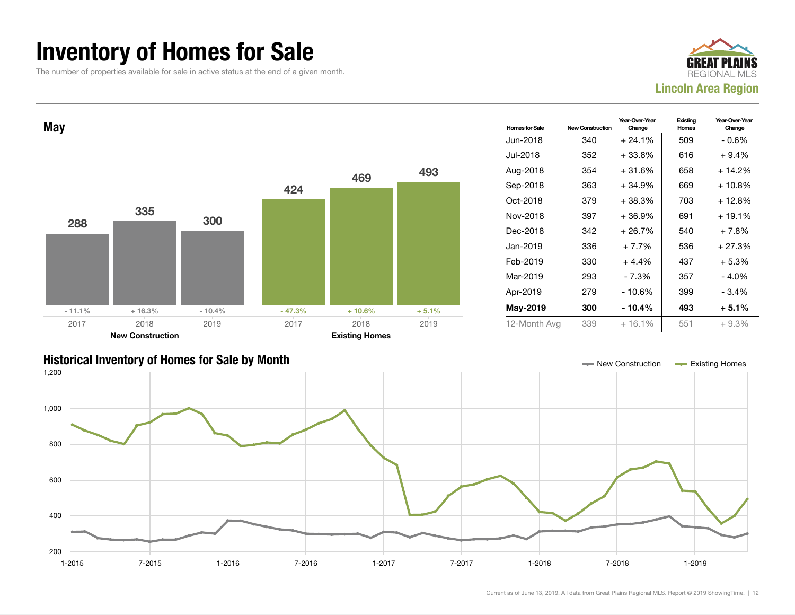### Inventory of Homes for Sale

The number of properties available for sale in active status at the end of a given month.





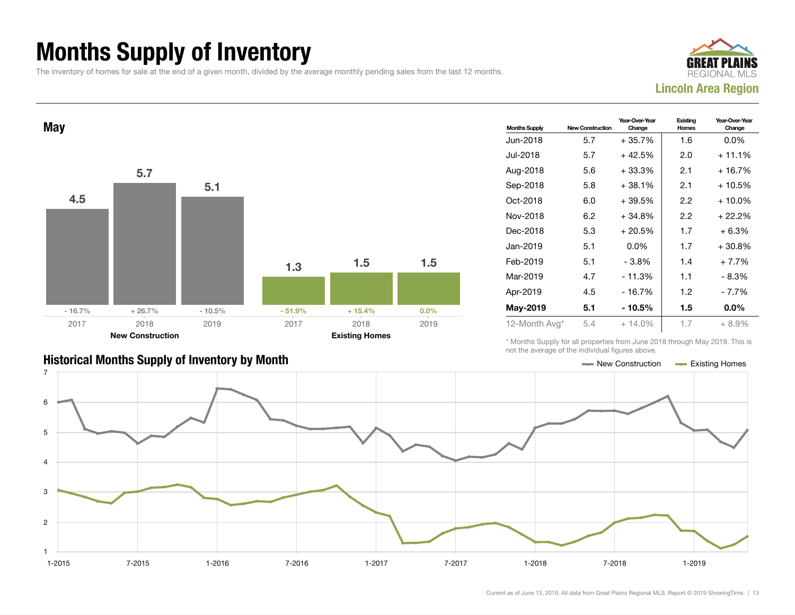### Months Supply of Inventory

The inventory of homes for sale at the end of a given month, divided by the average monthly pending sales from the last 12 months.





| <b>Months Supply</b> | <b>New Construction</b> | Year-Over-Year<br>Change | Existing<br>Homes | Year-Over-Year<br>Change |
|----------------------|-------------------------|--------------------------|-------------------|--------------------------|
| Jun-2018             | 5.7                     | $+35.7%$                 | 1.6               | $0.0\%$                  |
| Jul-2018             | 5.7                     | $+42.5%$                 | 2.0               | $+11.1%$                 |
| Aug-2018             | 5.6                     | $+33.3%$                 | 2.1               | + 16.7%                  |
| Sep-2018             | 5.8                     | $+38.1%$                 | 2.1               | + 10.5%                  |
| Oct-2018             | 6.0                     | $+39.5%$                 | $2.2\,$           | $+10.0%$                 |
| Nov-2018             | 6.2                     | $+34.8%$                 | $2.2\,$           | + 22.2%                  |
| Dec-2018             | 5.3                     | $+20.5%$                 | 1.7               | $+6.3%$                  |
| Jan-2019             | 5.1                     | $0.0\%$                  | 1.7               | $+30.8%$                 |
| Feb-2019             | 5.1                     | - 3.8%                   | 1.4               | $+7.7%$                  |
| Mar-2019             | 4.7                     | $-11.3%$                 | 1.1               | - 8.3%                   |
| Apr-2019             | 4.5                     | $-16.7%$                 | 1.2               | - 7.7%                   |
| May-2019             | 5.1                     | - 10.5%                  | 1.5               | $0.0\%$                  |
| 12-Month Avg*        | 5.4                     | $+14.0%$                 | 1.7               | $+8.9%$                  |

\* Months Supply for all properties from June 2018 through May 2019. This is not the average of the individual figures above.